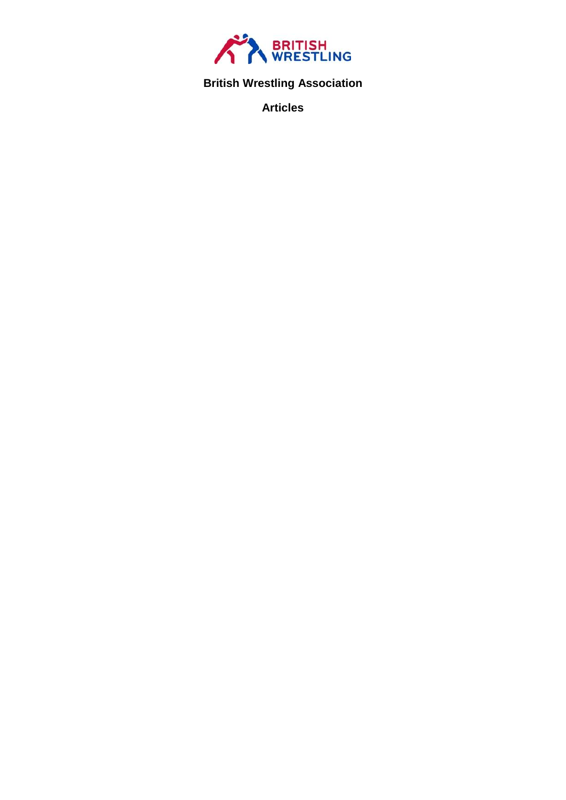

# **British Wrestling Association**

**Articles**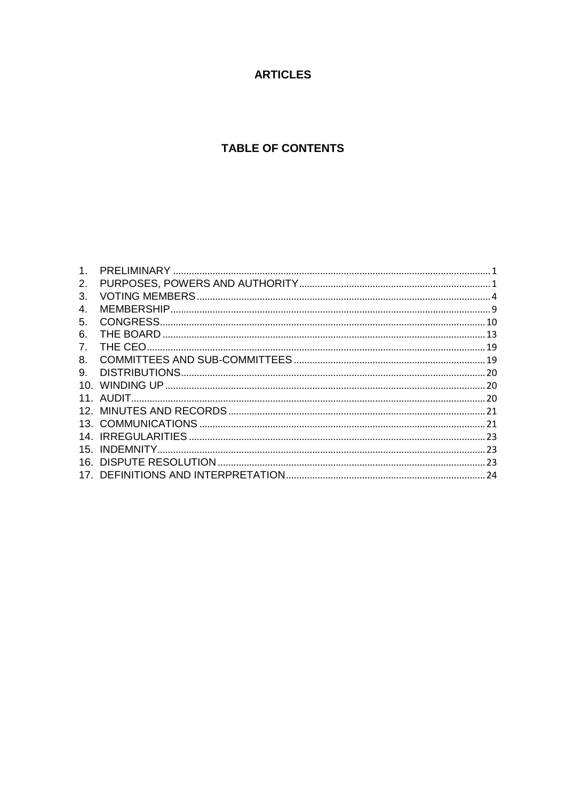# **ARTICLES**

# **TABLE OF CONTENTS**

| $\mathbf{1}$ .                 |  |
|--------------------------------|--|
| 2.                             |  |
| 3.                             |  |
| 4.                             |  |
| 5.                             |  |
| 6.                             |  |
| $7_{\scriptscriptstyle{\sim}}$ |  |
| 8.                             |  |
| 9.                             |  |
|                                |  |
|                                |  |
|                                |  |
|                                |  |
|                                |  |
|                                |  |
|                                |  |
|                                |  |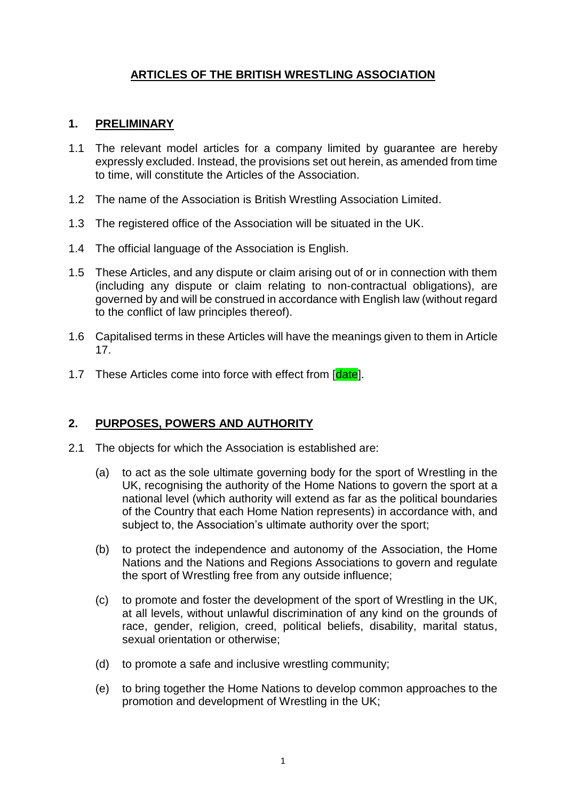# **ARTICLES OF THE BRITISH WRESTLING ASSOCIATION**

#### <span id="page-2-0"></span>**1. PRELIMINARY**

- 1.1 The relevant model articles for a company limited by guarantee are hereby expressly excluded. Instead, the provisions set out herein, as amended from time to time, will constitute the Articles of the Association.
- 1.2 The name of the Association is British Wrestling Association Limited.
- 1.3 The registered office of the Association will be situated in the UK.
- 1.4 The official language of the Association is English.
- 1.5 These Articles, and any dispute or claim arising out of or in connection with them (including any dispute or claim relating to non-contractual obligations), are governed by and will be construed in accordance with English law (without regard to the conflict of law principles thereof).
- 1.6 Capitalised terms in these Articles will have the meanings given to them in Article 17.
- 1.7 These Articles come into force with effect from [date].

#### <span id="page-2-1"></span>**2. PURPOSES, POWERS AND AUTHORITY**

- 2.1 The objects for which the Association is established are:
	- (a) to act as the sole ultimate governing body for the sport of Wrestling in the UK, recognising the authority of the Home Nations to govern the sport at a national level (which authority will extend as far as the political boundaries of the Country that each Home Nation represents) in accordance with, and subject to, the Association's ultimate authority over the sport:
	- (b) to protect the independence and autonomy of the Association, the Home Nations and the Nations and Regions Associations to govern and regulate the sport of Wrestling free from any outside influence;
	- (c) to promote and foster the development of the sport of Wrestling in the UK, at all levels, without unlawful discrimination of any kind on the grounds of race, gender, religion, creed, political beliefs, disability, marital status, sexual orientation or otherwise;
	- (d) to promote a safe and inclusive wrestling community;
	- (e) to bring together the Home Nations to develop common approaches to the promotion and development of Wrestling in the UK;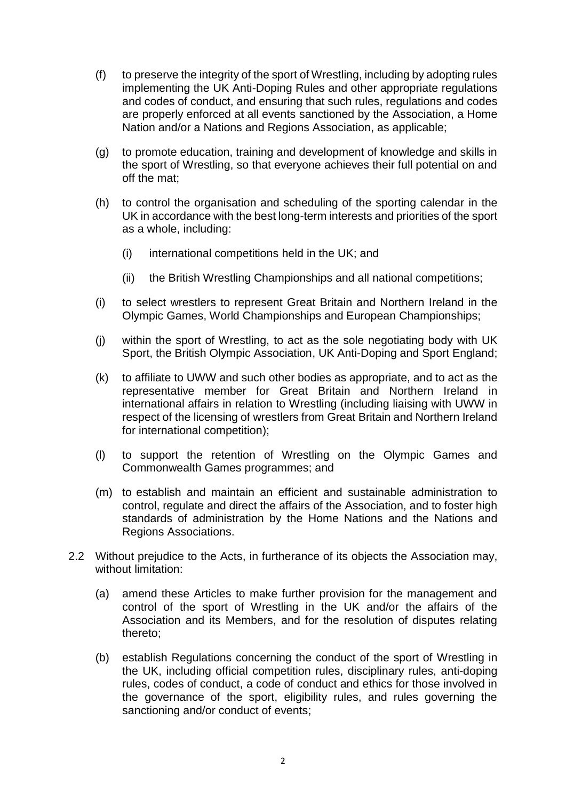- (f) to preserve the integrity of the sport of Wrestling, including by adopting rules implementing the UK Anti-Doping Rules and other appropriate regulations and codes of conduct, and ensuring that such rules, regulations and codes are properly enforced at all events sanctioned by the Association, a Home Nation and/or a Nations and Regions Association, as applicable;
- (g) to promote education, training and development of knowledge and skills in the sport of Wrestling, so that everyone achieves their full potential on and off the mat;
- (h) to control the organisation and scheduling of the sporting calendar in the UK in accordance with the best long-term interests and priorities of the sport as a whole, including:
	- (i) international competitions held in the UK; and
	- (ii) the British Wrestling Championships and all national competitions;
- (i) to select wrestlers to represent Great Britain and Northern Ireland in the Olympic Games, World Championships and European Championships;
- (j) within the sport of Wrestling, to act as the sole negotiating body with UK Sport, the British Olympic Association, UK Anti-Doping and Sport England;
- (k) to affiliate to UWW and such other bodies as appropriate, and to act as the representative member for Great Britain and Northern Ireland in international affairs in relation to Wrestling (including liaising with UWW in respect of the licensing of wrestlers from Great Britain and Northern Ireland for international competition);
- (l) to support the retention of Wrestling on the Olympic Games and Commonwealth Games programmes; and
- (m) to establish and maintain an efficient and sustainable administration to control, regulate and direct the affairs of the Association, and to foster high standards of administration by the Home Nations and the Nations and Regions Associations.
- 2.2 Without prejudice to the Acts, in furtherance of its objects the Association may, without limitation:
	- (a) amend these Articles to make further provision for the management and control of the sport of Wrestling in the UK and/or the affairs of the Association and its Members, and for the resolution of disputes relating thereto;
	- (b) establish Regulations concerning the conduct of the sport of Wrestling in the UK, including official competition rules, disciplinary rules, anti-doping rules, codes of conduct, a code of conduct and ethics for those involved in the governance of the sport, eligibility rules, and rules governing the sanctioning and/or conduct of events;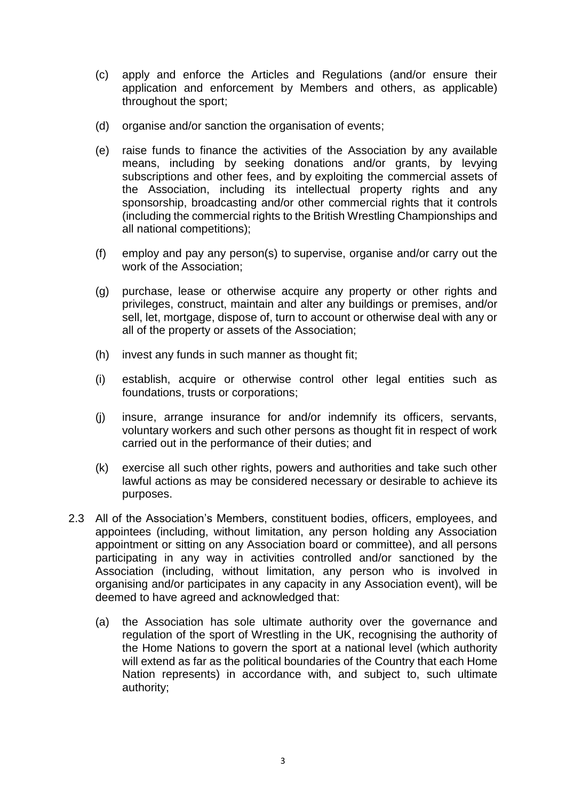- (c) apply and enforce the Articles and Regulations (and/or ensure their application and enforcement by Members and others, as applicable) throughout the sport;
- (d) organise and/or sanction the organisation of events;
- (e) raise funds to finance the activities of the Association by any available means, including by seeking donations and/or grants, by levying subscriptions and other fees, and by exploiting the commercial assets of the Association, including its intellectual property rights and any sponsorship, broadcasting and/or other commercial rights that it controls (including the commercial rights to the British Wrestling Championships and all national competitions);
- (f) employ and pay any person(s) to supervise, organise and/or carry out the work of the Association;
- (g) purchase, lease or otherwise acquire any property or other rights and privileges, construct, maintain and alter any buildings or premises, and/or sell, let, mortgage, dispose of, turn to account or otherwise deal with any or all of the property or assets of the Association;
- (h) invest any funds in such manner as thought fit;
- (i) establish, acquire or otherwise control other legal entities such as foundations, trusts or corporations;
- (j) insure, arrange insurance for and/or indemnify its officers, servants, voluntary workers and such other persons as thought fit in respect of work carried out in the performance of their duties; and
- (k) exercise all such other rights, powers and authorities and take such other lawful actions as may be considered necessary or desirable to achieve its purposes.
- 2.3 All of the Association's Members, constituent bodies, officers, employees, and appointees (including, without limitation, any person holding any Association appointment or sitting on any Association board or committee), and all persons participating in any way in activities controlled and/or sanctioned by the Association (including, without limitation, any person who is involved in organising and/or participates in any capacity in any Association event), will be deemed to have agreed and acknowledged that:
	- (a) the Association has sole ultimate authority over the governance and regulation of the sport of Wrestling in the UK, recognising the authority of the Home Nations to govern the sport at a national level (which authority will extend as far as the political boundaries of the Country that each Home Nation represents) in accordance with, and subject to, such ultimate authority;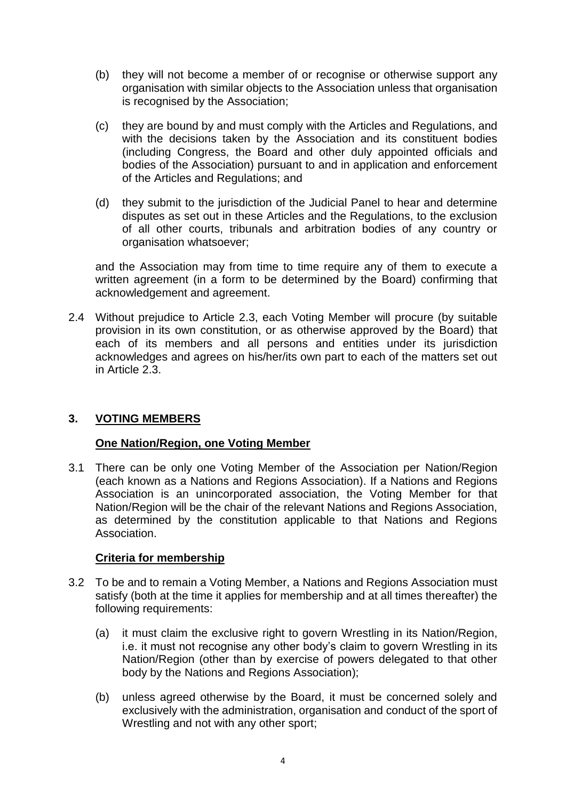- (b) they will not become a member of or recognise or otherwise support any organisation with similar objects to the Association unless that organisation is recognised by the Association;
- (c) they are bound by and must comply with the Articles and Regulations, and with the decisions taken by the Association and its constituent bodies (including Congress, the Board and other duly appointed officials and bodies of the Association) pursuant to and in application and enforcement of the Articles and Regulations; and
- (d) they submit to the jurisdiction of the Judicial Panel to hear and determine disputes as set out in these Articles and the Regulations, to the exclusion of all other courts, tribunals and arbitration bodies of any country or organisation whatsoever;

and the Association may from time to time require any of them to execute a written agreement (in a form to be determined by the Board) confirming that acknowledgement and agreement.

2.4 Without prejudice to Article 2.3, each Voting Member will procure (by suitable provision in its own constitution, or as otherwise approved by the Board) that each of its members and all persons and entities under its jurisdiction acknowledges and agrees on his/her/its own part to each of the matters set out in Article 2.3.

# <span id="page-5-0"></span>**3. VOTING MEMBERS**

#### **One Nation/Region, one Voting Member**

3.1 There can be only one Voting Member of the Association per Nation/Region (each known as a Nations and Regions Association). If a Nations and Regions Association is an unincorporated association, the Voting Member for that Nation/Region will be the chair of the relevant Nations and Regions Association, as determined by the constitution applicable to that Nations and Regions Association.

#### **Criteria for membership**

- 3.2 To be and to remain a Voting Member, a Nations and Regions Association must satisfy (both at the time it applies for membership and at all times thereafter) the following requirements:
	- (a) it must claim the exclusive right to govern Wrestling in its Nation/Region, i.e. it must not recognise any other body's claim to govern Wrestling in its Nation/Region (other than by exercise of powers delegated to that other body by the Nations and Regions Association);
	- (b) unless agreed otherwise by the Board, it must be concerned solely and exclusively with the administration, organisation and conduct of the sport of Wrestling and not with any other sport;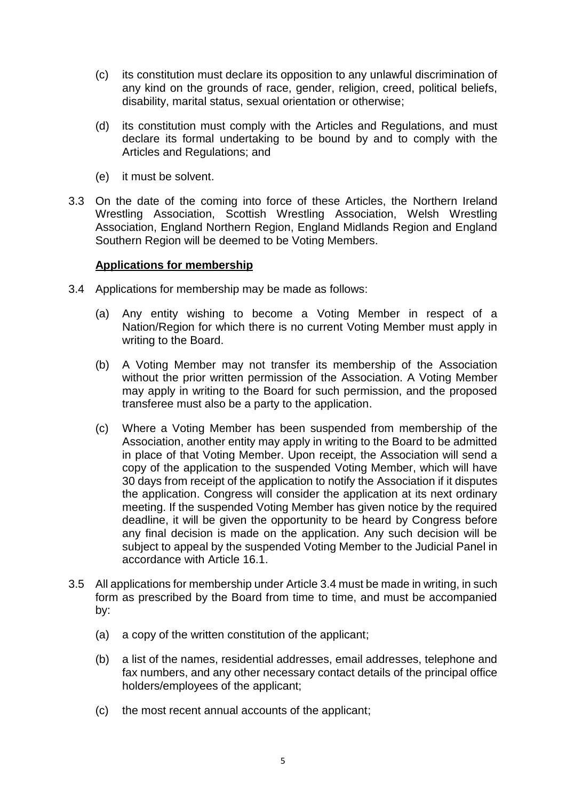- (c) its constitution must declare its opposition to any unlawful discrimination of any kind on the grounds of race, gender, religion, creed, political beliefs, disability, marital status, sexual orientation or otherwise;
- (d) its constitution must comply with the Articles and Regulations, and must declare its formal undertaking to be bound by and to comply with the Articles and Regulations; and
- (e) it must be solvent.
- 3.3 On the date of the coming into force of these Articles, the Northern Ireland Wrestling Association, Scottish Wrestling Association, Welsh Wrestling Association, England Northern Region, England Midlands Region and England Southern Region will be deemed to be Voting Members.

#### **Applications for membership**

- 3.4 Applications for membership may be made as follows:
	- (a) Any entity wishing to become a Voting Member in respect of a Nation/Region for which there is no current Voting Member must apply in writing to the Board.
	- (b) A Voting Member may not transfer its membership of the Association without the prior written permission of the Association. A Voting Member may apply in writing to the Board for such permission, and the proposed transferee must also be a party to the application.
	- (c) Where a Voting Member has been suspended from membership of the Association, another entity may apply in writing to the Board to be admitted in place of that Voting Member. Upon receipt, the Association will send a copy of the application to the suspended Voting Member, which will have 30 days from receipt of the application to notify the Association if it disputes the application. Congress will consider the application at its next ordinary meeting. If the suspended Voting Member has given notice by the required deadline, it will be given the opportunity to be heard by Congress before any final decision is made on the application. Any such decision will be subject to appeal by the suspended Voting Member to the Judicial Panel in accordance with Article 16.1.
- 3.5 All applications for membership under Article 3.4 must be made in writing, in such form as prescribed by the Board from time to time, and must be accompanied by:
	- (a) a copy of the written constitution of the applicant;
	- (b) a list of the names, residential addresses, email addresses, telephone and fax numbers, and any other necessary contact details of the principal office holders/employees of the applicant;
	- (c) the most recent annual accounts of the applicant;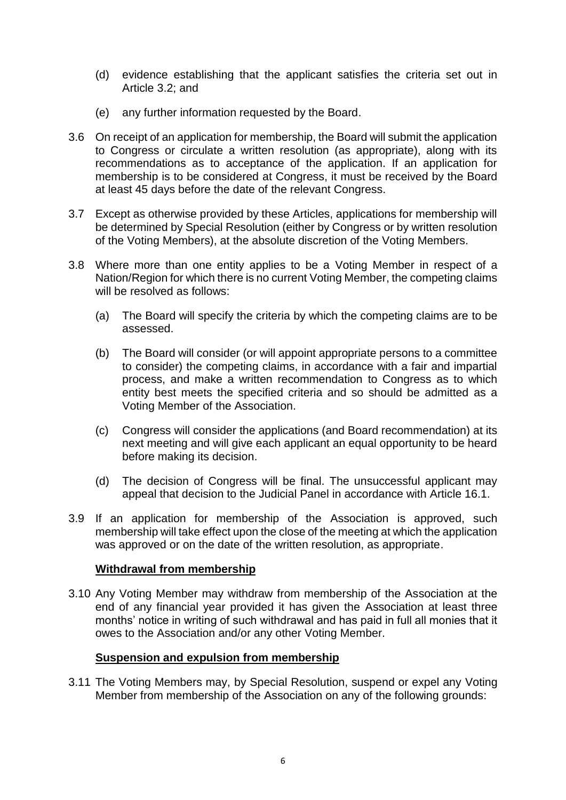- (d) evidence establishing that the applicant satisfies the criteria set out in Article 3.2; and
- (e) any further information requested by the Board.
- 3.6 On receipt of an application for membership, the Board will submit the application to Congress or circulate a written resolution (as appropriate), along with its recommendations as to acceptance of the application. If an application for membership is to be considered at Congress, it must be received by the Board at least 45 days before the date of the relevant Congress.
- 3.7 Except as otherwise provided by these Articles, applications for membership will be determined by Special Resolution (either by Congress or by written resolution of the Voting Members), at the absolute discretion of the Voting Members.
- 3.8 Where more than one entity applies to be a Voting Member in respect of a Nation/Region for which there is no current Voting Member, the competing claims will be resolved as follows:
	- (a) The Board will specify the criteria by which the competing claims are to be assessed.
	- (b) The Board will consider (or will appoint appropriate persons to a committee to consider) the competing claims, in accordance with a fair and impartial process, and make a written recommendation to Congress as to which entity best meets the specified criteria and so should be admitted as a Voting Member of the Association.
	- (c) Congress will consider the applications (and Board recommendation) at its next meeting and will give each applicant an equal opportunity to be heard before making its decision.
	- (d) The decision of Congress will be final. The unsuccessful applicant may appeal that decision to the Judicial Panel in accordance with Article 16.1.
- 3.9 If an application for membership of the Association is approved, such membership will take effect upon the close of the meeting at which the application was approved or on the date of the written resolution, as appropriate.

#### **Withdrawal from membership**

3.10 Any Voting Member may withdraw from membership of the Association at the end of any financial year provided it has given the Association at least three months' notice in writing of such withdrawal and has paid in full all monies that it owes to the Association and/or any other Voting Member.

#### **Suspension and expulsion from membership**

3.11 The Voting Members may, by Special Resolution, suspend or expel any Voting Member from membership of the Association on any of the following grounds: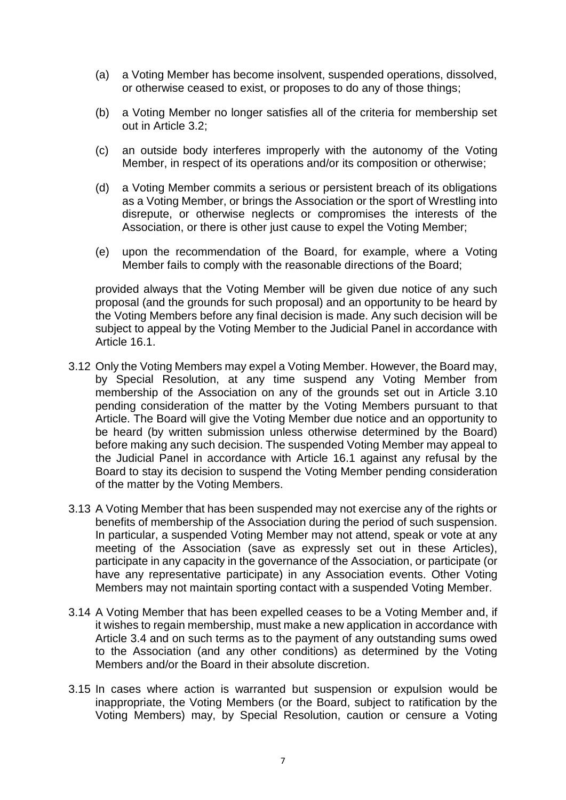- (a) a Voting Member has become insolvent, suspended operations, dissolved, or otherwise ceased to exist, or proposes to do any of those things;
- (b) a Voting Member no longer satisfies all of the criteria for membership set out in Article 3.2;
- (c) an outside body interferes improperly with the autonomy of the Voting Member, in respect of its operations and/or its composition or otherwise;
- (d) a Voting Member commits a serious or persistent breach of its obligations as a Voting Member, or brings the Association or the sport of Wrestling into disrepute, or otherwise neglects or compromises the interests of the Association, or there is other just cause to expel the Voting Member;
- (e) upon the recommendation of the Board, for example, where a Voting Member fails to comply with the reasonable directions of the Board;

provided always that the Voting Member will be given due notice of any such proposal (and the grounds for such proposal) and an opportunity to be heard by the Voting Members before any final decision is made. Any such decision will be subject to appeal by the Voting Member to the Judicial Panel in accordance with Article 16.1.

- 3.12 Only the Voting Members may expel a Voting Member. However, the Board may, by Special Resolution, at any time suspend any Voting Member from membership of the Association on any of the grounds set out in Article 3.10 pending consideration of the matter by the Voting Members pursuant to that Article. The Board will give the Voting Member due notice and an opportunity to be heard (by written submission unless otherwise determined by the Board) before making any such decision. The suspended Voting Member may appeal to the Judicial Panel in accordance with Article 16.1 against any refusal by the Board to stay its decision to suspend the Voting Member pending consideration of the matter by the Voting Members.
- 3.13 A Voting Member that has been suspended may not exercise any of the rights or benefits of membership of the Association during the period of such suspension. In particular, a suspended Voting Member may not attend, speak or vote at any meeting of the Association (save as expressly set out in these Articles), participate in any capacity in the governance of the Association, or participate (or have any representative participate) in any Association events. Other Voting Members may not maintain sporting contact with a suspended Voting Member.
- 3.14 A Voting Member that has been expelled ceases to be a Voting Member and, if it wishes to regain membership, must make a new application in accordance with Article 3.4 and on such terms as to the payment of any outstanding sums owed to the Association (and any other conditions) as determined by the Voting Members and/or the Board in their absolute discretion.
- 3.15 In cases where action is warranted but suspension or expulsion would be inappropriate, the Voting Members (or the Board, subject to ratification by the Voting Members) may, by Special Resolution, caution or censure a Voting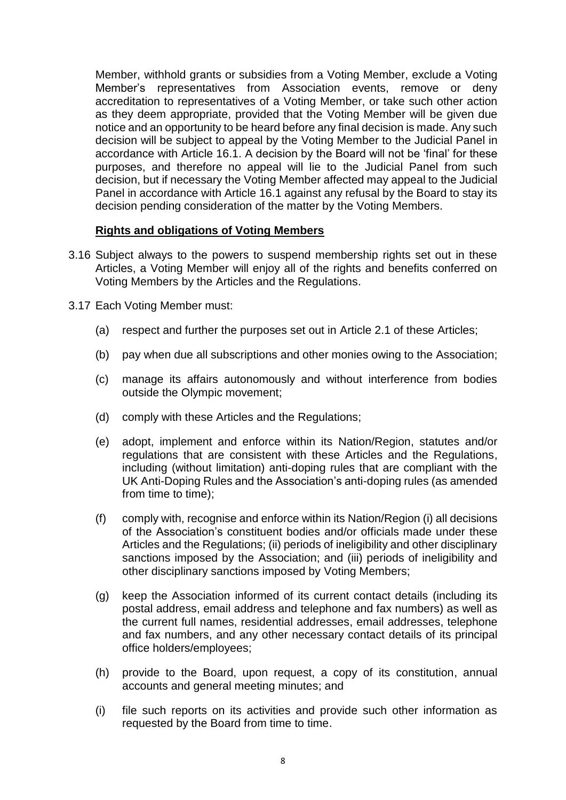Member, withhold grants or subsidies from a Voting Member, exclude a Voting Member's representatives from Association events, remove or deny accreditation to representatives of a Voting Member, or take such other action as they deem appropriate, provided that the Voting Member will be given due notice and an opportunity to be heard before any final decision is made. Any such decision will be subject to appeal by the Voting Member to the Judicial Panel in accordance with Article 16.1. A decision by the Board will not be 'final' for these purposes, and therefore no appeal will lie to the Judicial Panel from such decision, but if necessary the Voting Member affected may appeal to the Judicial Panel in accordance with Article 16.1 against any refusal by the Board to stay its decision pending consideration of the matter by the Voting Members.

#### **Rights and obligations of Voting Members**

- 3.16 Subject always to the powers to suspend membership rights set out in these Articles, a Voting Member will enjoy all of the rights and benefits conferred on Voting Members by the Articles and the Regulations.
- 3.17 Each Voting Member must:
	- (a) respect and further the purposes set out in Article 2.1 of these Articles;
	- (b) pay when due all subscriptions and other monies owing to the Association;
	- (c) manage its affairs autonomously and without interference from bodies outside the Olympic movement;
	- (d) comply with these Articles and the Regulations;
	- (e) adopt, implement and enforce within its Nation/Region, statutes and/or regulations that are consistent with these Articles and the Regulations, including (without limitation) anti-doping rules that are compliant with the UK Anti-Doping Rules and the Association's anti-doping rules (as amended from time to time);
	- (f) comply with, recognise and enforce within its Nation/Region (i) all decisions of the Association's constituent bodies and/or officials made under these Articles and the Regulations; (ii) periods of ineligibility and other disciplinary sanctions imposed by the Association; and (iii) periods of ineligibility and other disciplinary sanctions imposed by Voting Members;
	- (g) keep the Association informed of its current contact details (including its postal address, email address and telephone and fax numbers) as well as the current full names, residential addresses, email addresses, telephone and fax numbers, and any other necessary contact details of its principal office holders/employees;
	- (h) provide to the Board, upon request, a copy of its constitution, annual accounts and general meeting minutes; and
	- (i) file such reports on its activities and provide such other information as requested by the Board from time to time.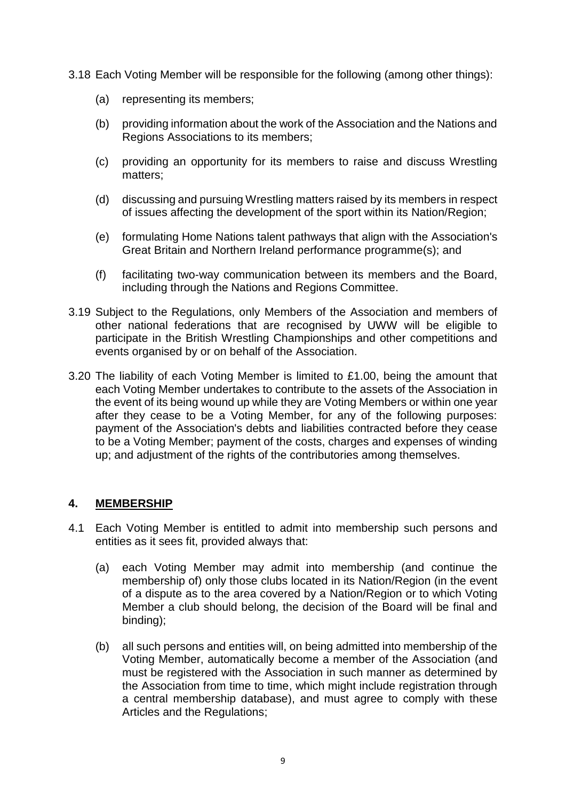3.18 Each Voting Member will be responsible for the following (among other things):

- (a) representing its members;
- (b) providing information about the work of the Association and the Nations and Regions Associations to its members;
- (c) providing an opportunity for its members to raise and discuss Wrestling matters;
- (d) discussing and pursuing Wrestling matters raised by its members in respect of issues affecting the development of the sport within its Nation/Region;
- (e) formulating Home Nations talent pathways that align with the Association's Great Britain and Northern Ireland performance programme(s); and
- (f) facilitating two-way communication between its members and the Board, including through the Nations and Regions Committee.
- 3.19 Subject to the Regulations, only Members of the Association and members of other national federations that are recognised by UWW will be eligible to participate in the British Wrestling Championships and other competitions and events organised by or on behalf of the Association.
- 3.20 The liability of each Voting Member is limited to £1.00, being the amount that each Voting Member undertakes to contribute to the assets of the Association in the event of its being wound up while they are Voting Members or within one year after they cease to be a Voting Member, for any of the following purposes: payment of the Association's debts and liabilities contracted before they cease to be a Voting Member; payment of the costs, charges and expenses of winding up; and adjustment of the rights of the contributories among themselves.

# <span id="page-10-0"></span>**4. MEMBERSHIP**

- 4.1 Each Voting Member is entitled to admit into membership such persons and entities as it sees fit, provided always that:
	- (a) each Voting Member may admit into membership (and continue the membership of) only those clubs located in its Nation/Region (in the event of a dispute as to the area covered by a Nation/Region or to which Voting Member a club should belong, the decision of the Board will be final and binding);
	- (b) all such persons and entities will, on being admitted into membership of the Voting Member, automatically become a member of the Association (and must be registered with the Association in such manner as determined by the Association from time to time, which might include registration through a central membership database), and must agree to comply with these Articles and the Regulations;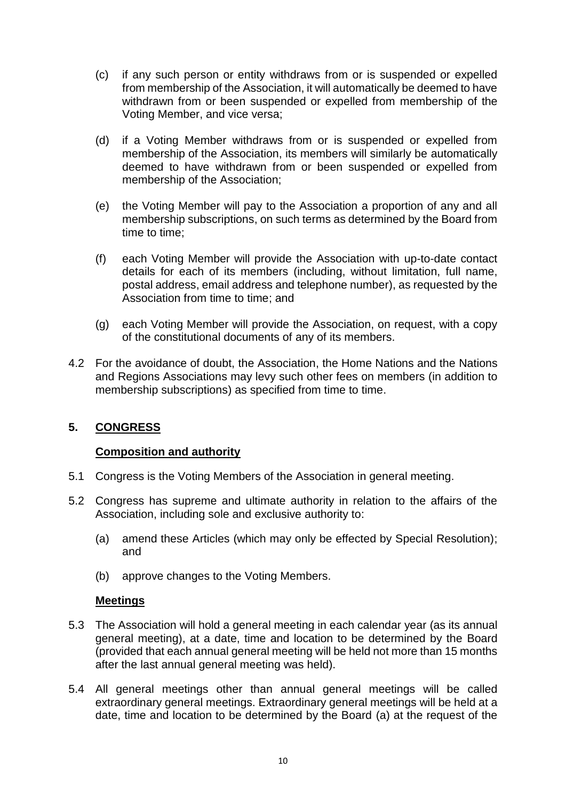- (c) if any such person or entity withdraws from or is suspended or expelled from membership of the Association, it will automatically be deemed to have withdrawn from or been suspended or expelled from membership of the Voting Member, and vice versa;
- (d) if a Voting Member withdraws from or is suspended or expelled from membership of the Association, its members will similarly be automatically deemed to have withdrawn from or been suspended or expelled from membership of the Association;
- (e) the Voting Member will pay to the Association a proportion of any and all membership subscriptions, on such terms as determined by the Board from time to time;
- (f) each Voting Member will provide the Association with up-to-date contact details for each of its members (including, without limitation, full name, postal address, email address and telephone number), as requested by the Association from time to time; and
- (g) each Voting Member will provide the Association, on request, with a copy of the constitutional documents of any of its members.
- 4.2 For the avoidance of doubt, the Association, the Home Nations and the Nations and Regions Associations may levy such other fees on members (in addition to membership subscriptions) as specified from time to time.

# <span id="page-11-0"></span>**5. CONGRESS**

# **Composition and authority**

- 5.1 Congress is the Voting Members of the Association in general meeting.
- 5.2 Congress has supreme and ultimate authority in relation to the affairs of the Association, including sole and exclusive authority to:
	- (a) amend these Articles (which may only be effected by Special Resolution); and
	- (b) approve changes to the Voting Members.

#### **Meetings**

- 5.3 The Association will hold a general meeting in each calendar year (as its annual general meeting), at a date, time and location to be determined by the Board (provided that each annual general meeting will be held not more than 15 months after the last annual general meeting was held).
- 5.4 All general meetings other than annual general meetings will be called extraordinary general meetings. Extraordinary general meetings will be held at a date, time and location to be determined by the Board (a) at the request of the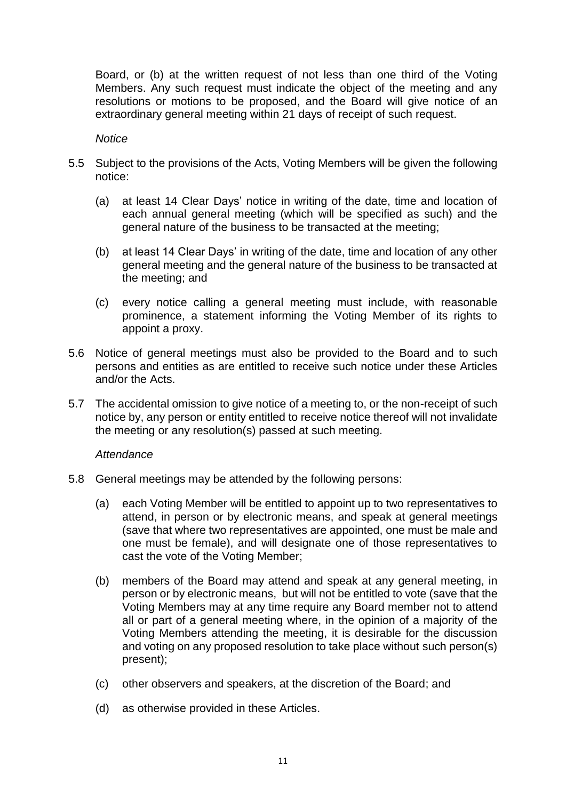Board, or (b) at the written request of not less than one third of the Voting Members. Any such request must indicate the object of the meeting and any resolutions or motions to be proposed, and the Board will give notice of an extraordinary general meeting within 21 days of receipt of such request.

#### *Notice*

- 5.5 Subject to the provisions of the Acts, Voting Members will be given the following notice:
	- (a) at least 14 Clear Days' notice in writing of the date, time and location of each annual general meeting (which will be specified as such) and the general nature of the business to be transacted at the meeting;
	- (b) at least 14 Clear Days' in writing of the date, time and location of any other general meeting and the general nature of the business to be transacted at the meeting; and
	- (c) every notice calling a general meeting must include, with reasonable prominence, a statement informing the Voting Member of its rights to appoint a proxy.
- 5.6 Notice of general meetings must also be provided to the Board and to such persons and entities as are entitled to receive such notice under these Articles and/or the Acts.
- 5.7 The accidental omission to give notice of a meeting to, or the non-receipt of such notice by, any person or entity entitled to receive notice thereof will not invalidate the meeting or any resolution(s) passed at such meeting.

#### *Attendance*

- 5.8 General meetings may be attended by the following persons:
	- (a) each Voting Member will be entitled to appoint up to two representatives to attend, in person or by electronic means, and speak at general meetings (save that where two representatives are appointed, one must be male and one must be female), and will designate one of those representatives to cast the vote of the Voting Member;
	- (b) members of the Board may attend and speak at any general meeting, in person or by electronic means, but will not be entitled to vote (save that the Voting Members may at any time require any Board member not to attend all or part of a general meeting where, in the opinion of a majority of the Voting Members attending the meeting, it is desirable for the discussion and voting on any proposed resolution to take place without such person(s) present);
	- (c) other observers and speakers, at the discretion of the Board; and
	- (d) as otherwise provided in these Articles.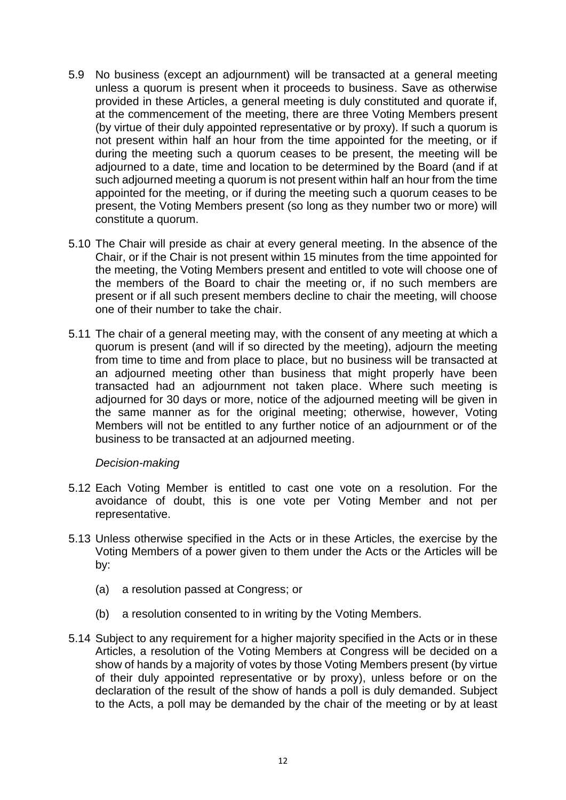- 5.9 No business (except an adjournment) will be transacted at a general meeting unless a quorum is present when it proceeds to business. Save as otherwise provided in these Articles, a general meeting is duly constituted and quorate if, at the commencement of the meeting, there are three Voting Members present (by virtue of their duly appointed representative or by proxy). If such a quorum is not present within half an hour from the time appointed for the meeting, or if during the meeting such a quorum ceases to be present, the meeting will be adjourned to a date, time and location to be determined by the Board (and if at such adjourned meeting a quorum is not present within half an hour from the time appointed for the meeting, or if during the meeting such a quorum ceases to be present, the Voting Members present (so long as they number two or more) will constitute a quorum.
- 5.10 The Chair will preside as chair at every general meeting. In the absence of the Chair, or if the Chair is not present within 15 minutes from the time appointed for the meeting, the Voting Members present and entitled to vote will choose one of the members of the Board to chair the meeting or, if no such members are present or if all such present members decline to chair the meeting, will choose one of their number to take the chair.
- 5.11 The chair of a general meeting may, with the consent of any meeting at which a quorum is present (and will if so directed by the meeting), adjourn the meeting from time to time and from place to place, but no business will be transacted at an adjourned meeting other than business that might properly have been transacted had an adjournment not taken place. Where such meeting is adjourned for 30 days or more, notice of the adjourned meeting will be given in the same manner as for the original meeting; otherwise, however, Voting Members will not be entitled to any further notice of an adjournment or of the business to be transacted at an adjourned meeting.

#### *Decision-making*

- 5.12 Each Voting Member is entitled to cast one vote on a resolution. For the avoidance of doubt, this is one vote per Voting Member and not per representative.
- 5.13 Unless otherwise specified in the Acts or in these Articles, the exercise by the Voting Members of a power given to them under the Acts or the Articles will be by:
	- (a) a resolution passed at Congress; or
	- (b) a resolution consented to in writing by the Voting Members.
- 5.14 Subject to any requirement for a higher majority specified in the Acts or in these Articles, a resolution of the Voting Members at Congress will be decided on a show of hands by a majority of votes by those Voting Members present (by virtue of their duly appointed representative or by proxy), unless before or on the declaration of the result of the show of hands a poll is duly demanded. Subject to the Acts, a poll may be demanded by the chair of the meeting or by at least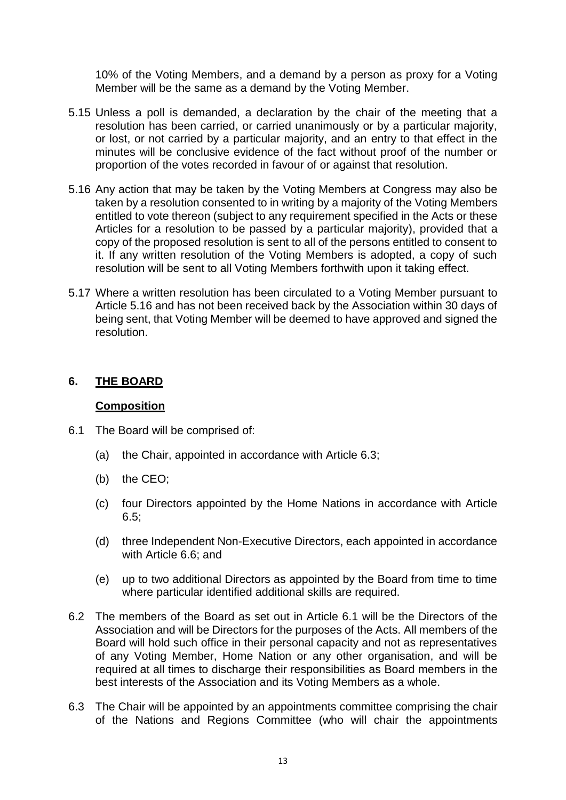10% of the Voting Members, and a demand by a person as proxy for a Voting Member will be the same as a demand by the Voting Member.

- 5.15 Unless a poll is demanded, a declaration by the chair of the meeting that a resolution has been carried, or carried unanimously or by a particular majority, or lost, or not carried by a particular majority, and an entry to that effect in the minutes will be conclusive evidence of the fact without proof of the number or proportion of the votes recorded in favour of or against that resolution.
- 5.16 Any action that may be taken by the Voting Members at Congress may also be taken by a resolution consented to in writing by a majority of the Voting Members entitled to vote thereon (subject to any requirement specified in the Acts or these Articles for a resolution to be passed by a particular majority), provided that a copy of the proposed resolution is sent to all of the persons entitled to consent to it. If any written resolution of the Voting Members is adopted, a copy of such resolution will be sent to all Voting Members forthwith upon it taking effect.
- 5.17 Where a written resolution has been circulated to a Voting Member pursuant to Article 5.16 and has not been received back by the Association within 30 days of being sent, that Voting Member will be deemed to have approved and signed the resolution.

#### <span id="page-14-0"></span>**6. THE BOARD**

#### **Composition**

- 6.1 The Board will be comprised of:
	- (a) the Chair, appointed in accordance with Article 6.3;
	- (b) the CEO;
	- (c) four Directors appointed by the Home Nations in accordance with Article 6.5;
	- (d) three Independent Non-Executive Directors, each appointed in accordance with Article 6.6; and
	- (e) up to two additional Directors as appointed by the Board from time to time where particular identified additional skills are required.
- 6.2 The members of the Board as set out in Article 6.1 will be the Directors of the Association and will be Directors for the purposes of the Acts. All members of the Board will hold such office in their personal capacity and not as representatives of any Voting Member, Home Nation or any other organisation, and will be required at all times to discharge their responsibilities as Board members in the best interests of the Association and its Voting Members as a whole.
- 6.3 The Chair will be appointed by an appointments committee comprising the chair of the Nations and Regions Committee (who will chair the appointments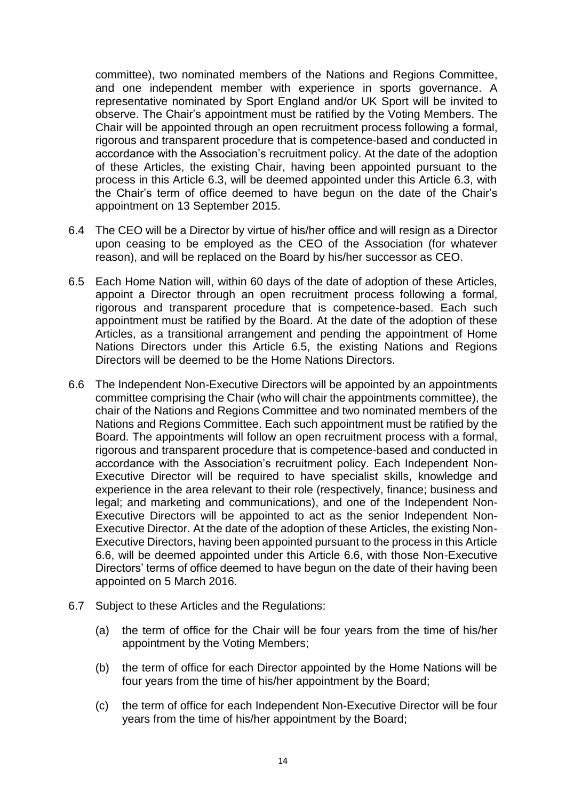committee), two nominated members of the Nations and Regions Committee, and one independent member with experience in sports governance. A representative nominated by Sport England and/or UK Sport will be invited to observe. The Chair's appointment must be ratified by the Voting Members. The Chair will be appointed through an open recruitment process following a formal, rigorous and transparent procedure that is competence-based and conducted in accordance with the Association's recruitment policy. At the date of the adoption of these Articles, the existing Chair, having been appointed pursuant to the process in this Article 6.3, will be deemed appointed under this Article 6.3, with the Chair's term of office deemed to have begun on the date of the Chair's appointment on 13 September 2015.

- 6.4 The CEO will be a Director by virtue of his/her office and will resign as a Director upon ceasing to be employed as the CEO of the Association (for whatever reason), and will be replaced on the Board by his/her successor as CEO.
- 6.5 Each Home Nation will, within 60 days of the date of adoption of these Articles, appoint a Director through an open recruitment process following a formal, rigorous and transparent procedure that is competence-based. Each such appointment must be ratified by the Board. At the date of the adoption of these Articles, as a transitional arrangement and pending the appointment of Home Nations Directors under this Article 6.5, the existing Nations and Regions Directors will be deemed to be the Home Nations Directors.
- 6.6 The Independent Non-Executive Directors will be appointed by an appointments committee comprising the Chair (who will chair the appointments committee), the chair of the Nations and Regions Committee and two nominated members of the Nations and Regions Committee. Each such appointment must be ratified by the Board. The appointments will follow an open recruitment process with a formal, rigorous and transparent procedure that is competence-based and conducted in accordance with the Association's recruitment policy. Each Independent Non-Executive Director will be required to have specialist skills, knowledge and experience in the area relevant to their role (respectively, finance; business and legal; and marketing and communications), and one of the Independent Non-Executive Directors will be appointed to act as the senior Independent Non-Executive Director. At the date of the adoption of these Articles, the existing Non-Executive Directors, having been appointed pursuant to the process in this Article 6.6, will be deemed appointed under this Article 6.6, with those Non-Executive Directors' terms of office deemed to have begun on the date of their having been appointed on 5 March 2016.
- 6.7 Subject to these Articles and the Regulations:
	- (a) the term of office for the Chair will be four years from the time of his/her appointment by the Voting Members;
	- (b) the term of office for each Director appointed by the Home Nations will be four years from the time of his/her appointment by the Board;
	- (c) the term of office for each Independent Non-Executive Director will be four years from the time of his/her appointment by the Board;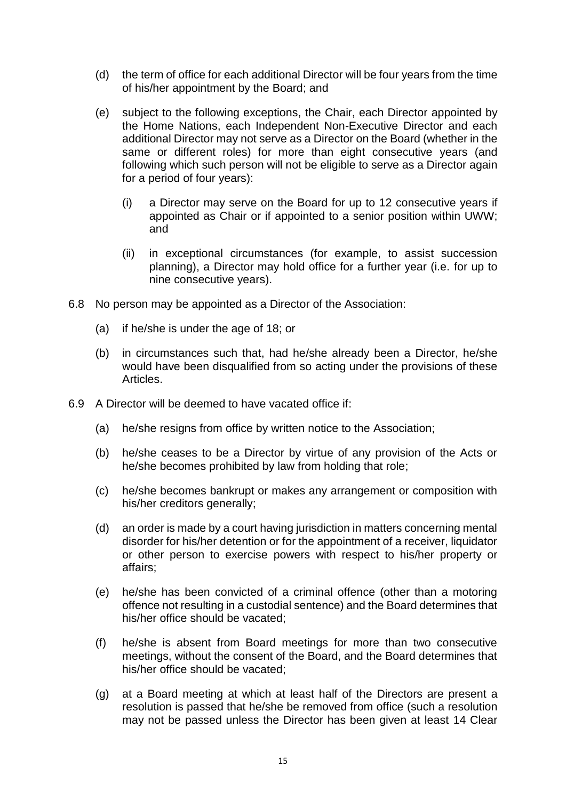- (d) the term of office for each additional Director will be four years from the time of his/her appointment by the Board; and
- (e) subject to the following exceptions, the Chair, each Director appointed by the Home Nations, each Independent Non-Executive Director and each additional Director may not serve as a Director on the Board (whether in the same or different roles) for more than eight consecutive years (and following which such person will not be eligible to serve as a Director again for a period of four years):
	- (i) a Director may serve on the Board for up to 12 consecutive years if appointed as Chair or if appointed to a senior position within UWW; and
	- (ii) in exceptional circumstances (for example, to assist succession planning), a Director may hold office for a further year (i.e. for up to nine consecutive years).
- 6.8 No person may be appointed as a Director of the Association:
	- (a) if he/she is under the age of 18; or
	- (b) in circumstances such that, had he/she already been a Director, he/she would have been disqualified from so acting under the provisions of these Articles.
- 6.9 A Director will be deemed to have vacated office if:
	- (a) he/she resigns from office by written notice to the Association;
	- (b) he/she ceases to be a Director by virtue of any provision of the Acts or he/she becomes prohibited by law from holding that role;
	- (c) he/she becomes bankrupt or makes any arrangement or composition with his/her creditors generally;
	- (d) an order is made by a court having jurisdiction in matters concerning mental disorder for his/her detention or for the appointment of a receiver, liquidator or other person to exercise powers with respect to his/her property or affairs;
	- (e) he/she has been convicted of a criminal offence (other than a motoring offence not resulting in a custodial sentence) and the Board determines that his/her office should be vacated;
	- (f) he/she is absent from Board meetings for more than two consecutive meetings, without the consent of the Board, and the Board determines that his/her office should be vacated;
	- (g) at a Board meeting at which at least half of the Directors are present a resolution is passed that he/she be removed from office (such a resolution may not be passed unless the Director has been given at least 14 Clear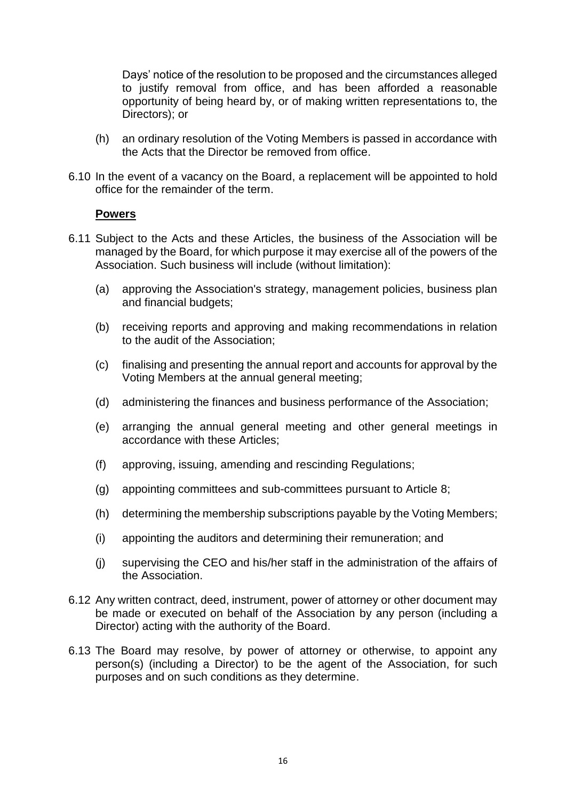Days' notice of the resolution to be proposed and the circumstances alleged to justify removal from office, and has been afforded a reasonable opportunity of being heard by, or of making written representations to, the Directors); or

- (h) an ordinary resolution of the Voting Members is passed in accordance with the Acts that the Director be removed from office.
- 6.10 In the event of a vacancy on the Board, a replacement will be appointed to hold office for the remainder of the term.

#### **Powers**

- 6.11 Subject to the Acts and these Articles, the business of the Association will be managed by the Board, for which purpose it may exercise all of the powers of the Association. Such business will include (without limitation):
	- (a) approving the Association's strategy, management policies, business plan and financial budgets;
	- (b) receiving reports and approving and making recommendations in relation to the audit of the Association;
	- (c) finalising and presenting the annual report and accounts for approval by the Voting Members at the annual general meeting;
	- (d) administering the finances and business performance of the Association;
	- (e) arranging the annual general meeting and other general meetings in accordance with these Articles;
	- (f) approving, issuing, amending and rescinding Regulations;
	- (g) appointing committees and sub-committees pursuant to Article 8;
	- (h) determining the membership subscriptions payable by the Voting Members;
	- (i) appointing the auditors and determining their remuneration; and
	- (j) supervising the CEO and his/her staff in the administration of the affairs of the Association.
- 6.12 Any written contract, deed, instrument, power of attorney or other document may be made or executed on behalf of the Association by any person (including a Director) acting with the authority of the Board.
- 6.13 The Board may resolve, by power of attorney or otherwise, to appoint any person(s) (including a Director) to be the agent of the Association, for such purposes and on such conditions as they determine.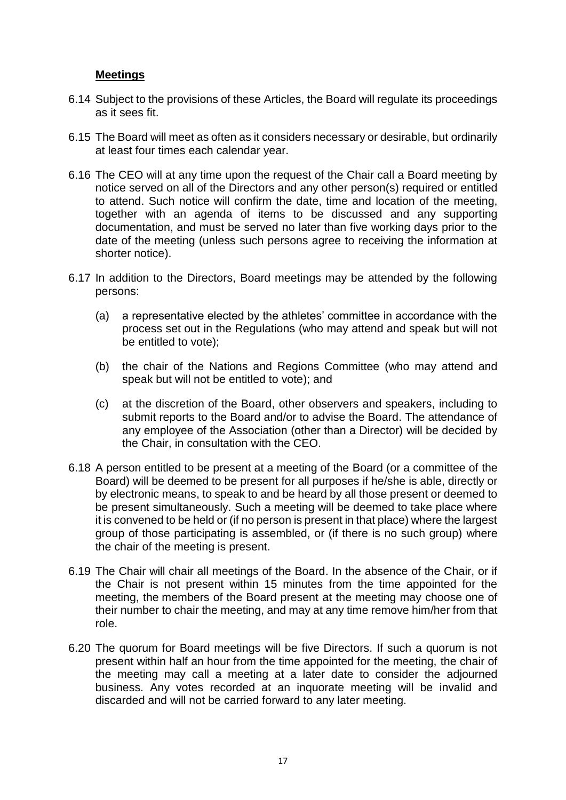# **Meetings**

- 6.14 Subject to the provisions of these Articles, the Board will regulate its proceedings as it sees fit.
- 6.15 The Board will meet as often as it considers necessary or desirable, but ordinarily at least four times each calendar year.
- 6.16 The CEO will at any time upon the request of the Chair call a Board meeting by notice served on all of the Directors and any other person(s) required or entitled to attend. Such notice will confirm the date, time and location of the meeting, together with an agenda of items to be discussed and any supporting documentation, and must be served no later than five working days prior to the date of the meeting (unless such persons agree to receiving the information at shorter notice).
- 6.17 In addition to the Directors, Board meetings may be attended by the following persons:
	- (a) a representative elected by the athletes' committee in accordance with the process set out in the Regulations (who may attend and speak but will not be entitled to vote);
	- (b) the chair of the Nations and Regions Committee (who may attend and speak but will not be entitled to vote); and
	- (c) at the discretion of the Board, other observers and speakers, including to submit reports to the Board and/or to advise the Board. The attendance of any employee of the Association (other than a Director) will be decided by the Chair, in consultation with the CEO.
- 6.18 A person entitled to be present at a meeting of the Board (or a committee of the Board) will be deemed to be present for all purposes if he/she is able, directly or by electronic means, to speak to and be heard by all those present or deemed to be present simultaneously. Such a meeting will be deemed to take place where it is convened to be held or (if no person is present in that place) where the largest group of those participating is assembled, or (if there is no such group) where the chair of the meeting is present.
- 6.19 The Chair will chair all meetings of the Board. In the absence of the Chair, or if the Chair is not present within 15 minutes from the time appointed for the meeting, the members of the Board present at the meeting may choose one of their number to chair the meeting, and may at any time remove him/her from that role.
- 6.20 The quorum for Board meetings will be five Directors. If such a quorum is not present within half an hour from the time appointed for the meeting, the chair of the meeting may call a meeting at a later date to consider the adjourned business. Any votes recorded at an inquorate meeting will be invalid and discarded and will not be carried forward to any later meeting.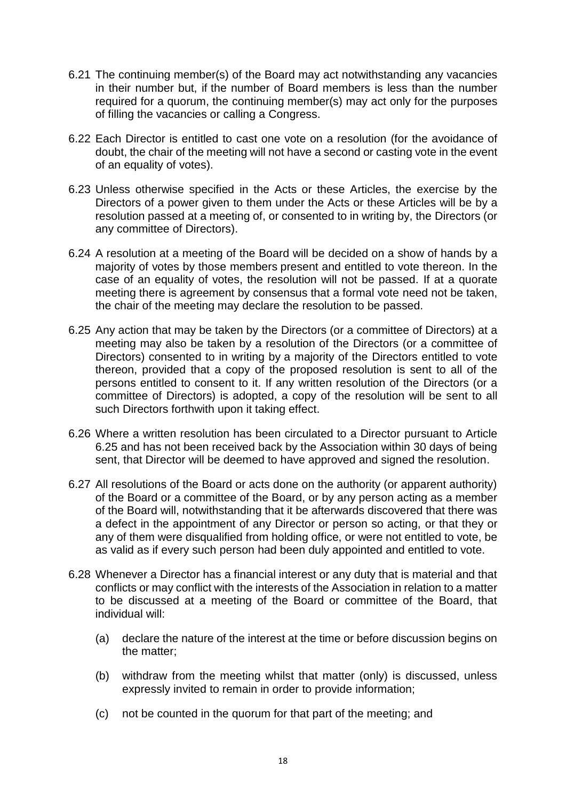- 6.21 The continuing member(s) of the Board may act notwithstanding any vacancies in their number but, if the number of Board members is less than the number required for a quorum, the continuing member(s) may act only for the purposes of filling the vacancies or calling a Congress.
- 6.22 Each Director is entitled to cast one vote on a resolution (for the avoidance of doubt, the chair of the meeting will not have a second or casting vote in the event of an equality of votes).
- 6.23 Unless otherwise specified in the Acts or these Articles, the exercise by the Directors of a power given to them under the Acts or these Articles will be by a resolution passed at a meeting of, or consented to in writing by, the Directors (or any committee of Directors).
- 6.24 A resolution at a meeting of the Board will be decided on a show of hands by a majority of votes by those members present and entitled to vote thereon. In the case of an equality of votes, the resolution will not be passed. If at a quorate meeting there is agreement by consensus that a formal vote need not be taken, the chair of the meeting may declare the resolution to be passed.
- 6.25 Any action that may be taken by the Directors (or a committee of Directors) at a meeting may also be taken by a resolution of the Directors (or a committee of Directors) consented to in writing by a majority of the Directors entitled to vote thereon, provided that a copy of the proposed resolution is sent to all of the persons entitled to consent to it. If any written resolution of the Directors (or a committee of Directors) is adopted, a copy of the resolution will be sent to all such Directors forthwith upon it taking effect.
- 6.26 Where a written resolution has been circulated to a Director pursuant to Article 6.25 and has not been received back by the Association within 30 days of being sent, that Director will be deemed to have approved and signed the resolution.
- 6.27 All resolutions of the Board or acts done on the authority (or apparent authority) of the Board or a committee of the Board, or by any person acting as a member of the Board will, notwithstanding that it be afterwards discovered that there was a defect in the appointment of any Director or person so acting, or that they or any of them were disqualified from holding office, or were not entitled to vote, be as valid as if every such person had been duly appointed and entitled to vote.
- 6.28 Whenever a Director has a financial interest or any duty that is material and that conflicts or may conflict with the interests of the Association in relation to a matter to be discussed at a meeting of the Board or committee of the Board, that individual will:
	- (a) declare the nature of the interest at the time or before discussion begins on the matter;
	- (b) withdraw from the meeting whilst that matter (only) is discussed, unless expressly invited to remain in order to provide information;
	- (c) not be counted in the quorum for that part of the meeting; and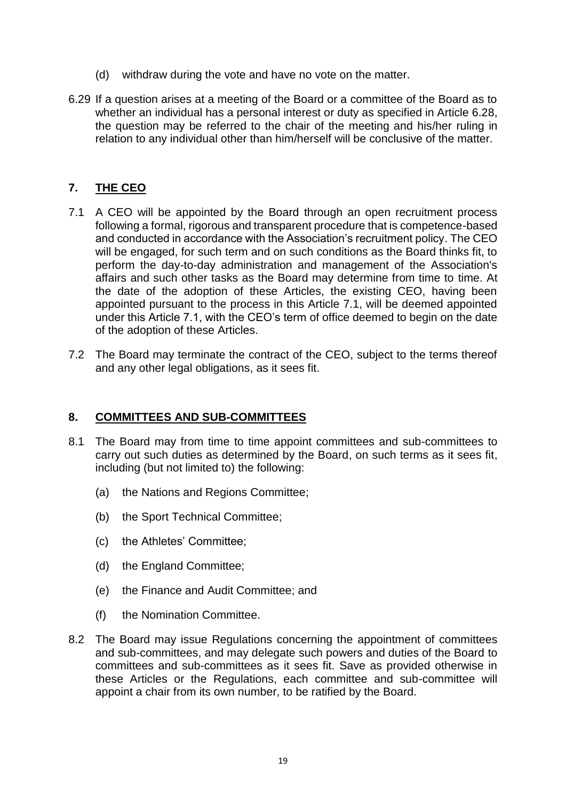- (d) withdraw during the vote and have no vote on the matter.
- 6.29 If a question arises at a meeting of the Board or a committee of the Board as to whether an individual has a personal interest or duty as specified in Article 6.28, the question may be referred to the chair of the meeting and his/her ruling in relation to any individual other than him/herself will be conclusive of the matter.

# <span id="page-20-0"></span>**7. THE CEO**

- 7.1 A CEO will be appointed by the Board through an open recruitment process following a formal, rigorous and transparent procedure that is competence-based and conducted in accordance with the Association's recruitment policy. The CEO will be engaged, for such term and on such conditions as the Board thinks fit, to perform the day-to-day administration and management of the Association's affairs and such other tasks as the Board may determine from time to time. At the date of the adoption of these Articles, the existing CEO, having been appointed pursuant to the process in this Article 7.1, will be deemed appointed under this Article 7.1, with the CEO's term of office deemed to begin on the date of the adoption of these Articles.
- 7.2 The Board may terminate the contract of the CEO, subject to the terms thereof and any other legal obligations, as it sees fit.

#### <span id="page-20-1"></span>**8. COMMITTEES AND SUB-COMMITTEES**

- 8.1 The Board may from time to time appoint committees and sub-committees to carry out such duties as determined by the Board, on such terms as it sees fit, including (but not limited to) the following:
	- (a) the Nations and Regions Committee;
	- (b) the Sport Technical Committee;
	- (c) the Athletes' Committee;
	- (d) the England Committee;
	- (e) the Finance and Audit Committee; and
	- (f) the Nomination Committee.
- 8.2 The Board may issue Regulations concerning the appointment of committees and sub-committees, and may delegate such powers and duties of the Board to committees and sub-committees as it sees fit. Save as provided otherwise in these Articles or the Regulations, each committee and sub-committee will appoint a chair from its own number, to be ratified by the Board.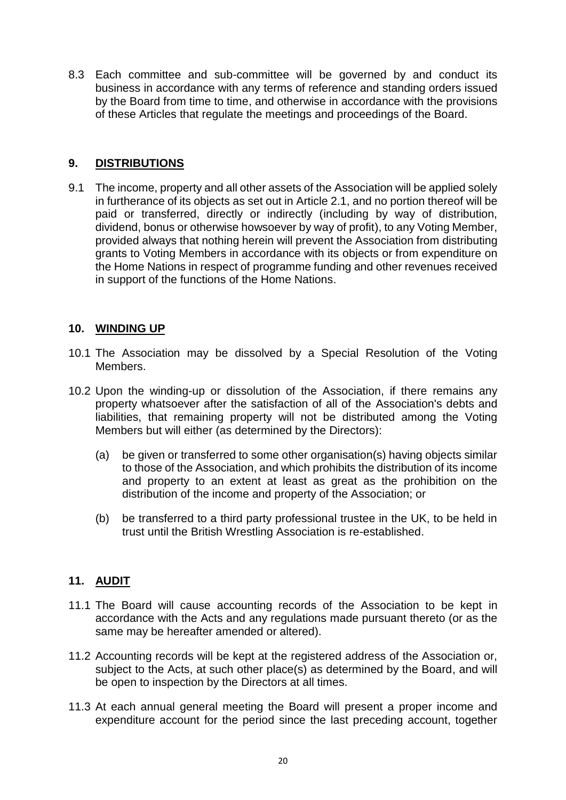8.3 Each committee and sub-committee will be governed by and conduct its business in accordance with any terms of reference and standing orders issued by the Board from time to time, and otherwise in accordance with the provisions of these Articles that regulate the meetings and proceedings of the Board.

# <span id="page-21-0"></span>**9. DISTRIBUTIONS**

9.1 The income, property and all other assets of the Association will be applied solely in furtherance of its objects as set out in Article 2.1, and no portion thereof will be paid or transferred, directly or indirectly (including by way of distribution, dividend, bonus or otherwise howsoever by way of profit), to any Voting Member, provided always that nothing herein will prevent the Association from distributing grants to Voting Members in accordance with its objects or from expenditure on the Home Nations in respect of programme funding and other revenues received in support of the functions of the Home Nations.

#### <span id="page-21-1"></span>**10. WINDING UP**

- 10.1 The Association may be dissolved by a Special Resolution of the Voting Members.
- 10.2 Upon the winding-up or dissolution of the Association, if there remains any property whatsoever after the satisfaction of all of the Association's debts and liabilities, that remaining property will not be distributed among the Voting Members but will either (as determined by the Directors):
	- (a) be given or transferred to some other organisation(s) having objects similar to those of the Association, and which prohibits the distribution of its income and property to an extent at least as great as the prohibition on the distribution of the income and property of the Association; or
	- (b) be transferred to a third party professional trustee in the UK, to be held in trust until the British Wrestling Association is re-established.

# <span id="page-21-2"></span>**11. AUDIT**

- 11.1 The Board will cause accounting records of the Association to be kept in accordance with the Acts and any regulations made pursuant thereto (or as the same may be hereafter amended or altered).
- 11.2 Accounting records will be kept at the registered address of the Association or, subject to the Acts, at such other place(s) as determined by the Board, and will be open to inspection by the Directors at all times.
- 11.3 At each annual general meeting the Board will present a proper income and expenditure account for the period since the last preceding account, together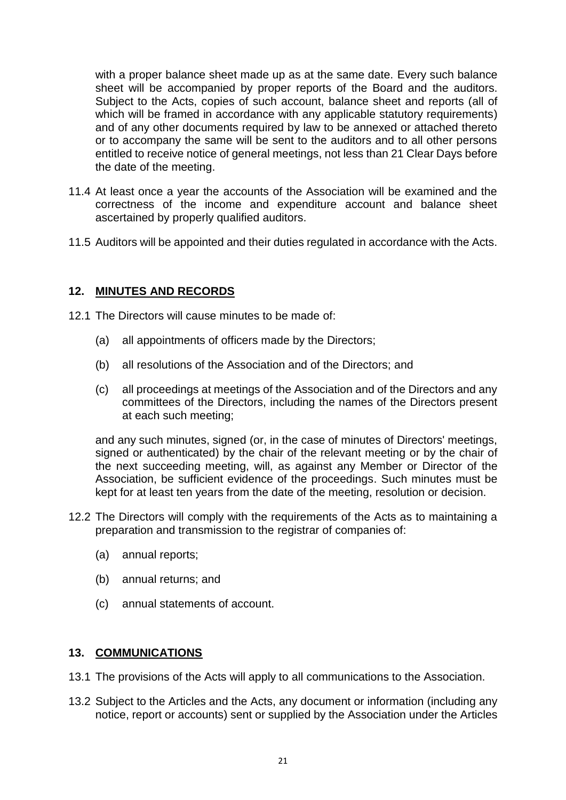with a proper balance sheet made up as at the same date. Every such balance sheet will be accompanied by proper reports of the Board and the auditors. Subject to the Acts, copies of such account, balance sheet and reports (all of which will be framed in accordance with any applicable statutory requirements) and of any other documents required by law to be annexed or attached thereto or to accompany the same will be sent to the auditors and to all other persons entitled to receive notice of general meetings, not less than 21 Clear Days before the date of the meeting.

- 11.4 At least once a year the accounts of the Association will be examined and the correctness of the income and expenditure account and balance sheet ascertained by properly qualified auditors.
- 11.5 Auditors will be appointed and their duties regulated in accordance with the Acts.

#### <span id="page-22-0"></span>**12. MINUTES AND RECORDS**

- 12.1 The Directors will cause minutes to be made of:
	- (a) all appointments of officers made by the Directors;
	- (b) all resolutions of the Association and of the Directors; and
	- (c) all proceedings at meetings of the Association and of the Directors and any committees of the Directors, including the names of the Directors present at each such meeting;

and any such minutes, signed (or, in the case of minutes of Directors' meetings, signed or authenticated) by the chair of the relevant meeting or by the chair of the next succeeding meeting, will, as against any Member or Director of the Association, be sufficient evidence of the proceedings. Such minutes must be kept for at least ten years from the date of the meeting, resolution or decision.

- 12.2 The Directors will comply with the requirements of the Acts as to maintaining a preparation and transmission to the registrar of companies of:
	- (a) annual reports;
	- (b) annual returns; and
	- (c) annual statements of account.

#### <span id="page-22-1"></span>**13. COMMUNICATIONS**

- 13.1 The provisions of the Acts will apply to all communications to the Association.
- 13.2 Subject to the Articles and the Acts, any document or information (including any notice, report or accounts) sent or supplied by the Association under the Articles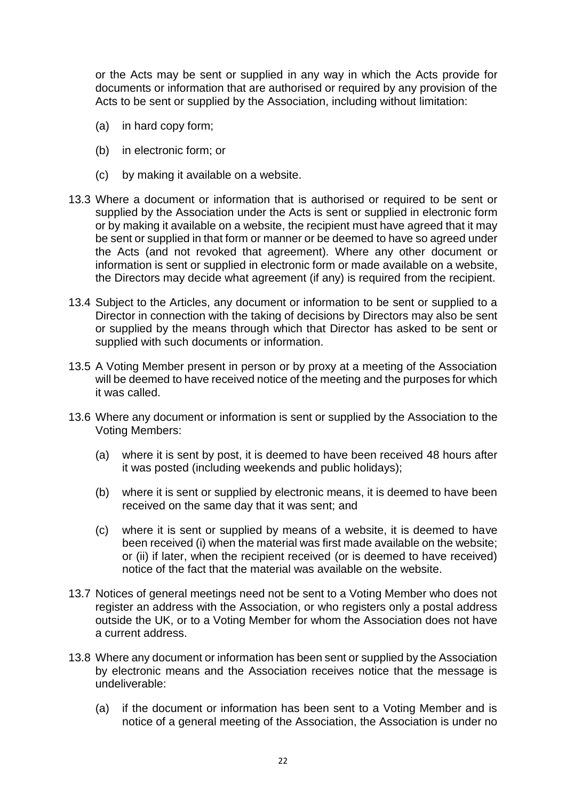or the Acts may be sent or supplied in any way in which the Acts provide for documents or information that are authorised or required by any provision of the Acts to be sent or supplied by the Association, including without limitation:

- (a) in hard copy form;
- (b) in electronic form; or
- (c) by making it available on a website.
- 13.3 Where a document or information that is authorised or required to be sent or supplied by the Association under the Acts is sent or supplied in electronic form or by making it available on a website, the recipient must have agreed that it may be sent or supplied in that form or manner or be deemed to have so agreed under the Acts (and not revoked that agreement). Where any other document or information is sent or supplied in electronic form or made available on a website, the Directors may decide what agreement (if any) is required from the recipient.
- 13.4 Subject to the Articles, any document or information to be sent or supplied to a Director in connection with the taking of decisions by Directors may also be sent or supplied by the means through which that Director has asked to be sent or supplied with such documents or information.
- 13.5 A Voting Member present in person or by proxy at a meeting of the Association will be deemed to have received notice of the meeting and the purposes for which it was called.
- 13.6 Where any document or information is sent or supplied by the Association to the Voting Members:
	- (a) where it is sent by post, it is deemed to have been received 48 hours after it was posted (including weekends and public holidays);
	- (b) where it is sent or supplied by electronic means, it is deemed to have been received on the same day that it was sent; and
	- (c) where it is sent or supplied by means of a website, it is deemed to have been received (i) when the material was first made available on the website; or (ii) if later, when the recipient received (or is deemed to have received) notice of the fact that the material was available on the website.
- 13.7 Notices of general meetings need not be sent to a Voting Member who does not register an address with the Association, or who registers only a postal address outside the UK, or to a Voting Member for whom the Association does not have a current address.
- 13.8 Where any document or information has been sent or supplied by the Association by electronic means and the Association receives notice that the message is undeliverable:
	- (a) if the document or information has been sent to a Voting Member and is notice of a general meeting of the Association, the Association is under no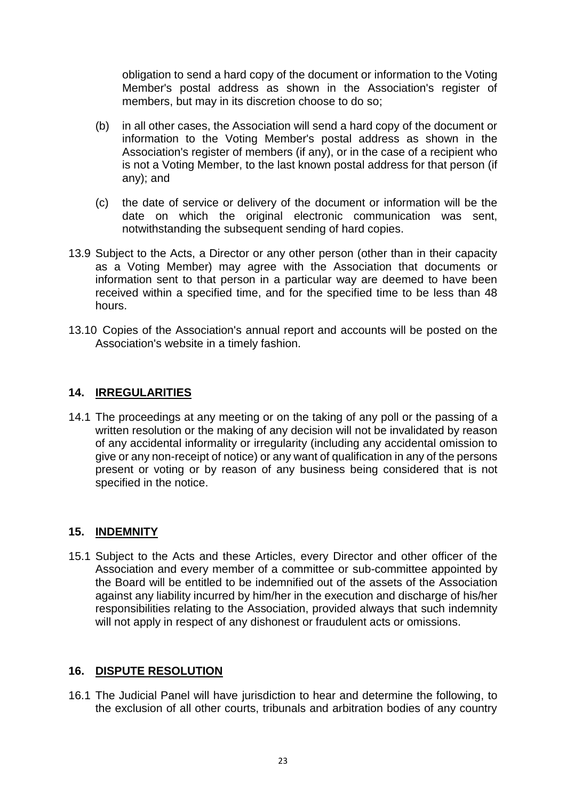obligation to send a hard copy of the document or information to the Voting Member's postal address as shown in the Association's register of members, but may in its discretion choose to do so;

- (b) in all other cases, the Association will send a hard copy of the document or information to the Voting Member's postal address as shown in the Association's register of members (if any), or in the case of a recipient who is not a Voting Member, to the last known postal address for that person (if any); and
- (c) the date of service or delivery of the document or information will be the date on which the original electronic communication was sent, notwithstanding the subsequent sending of hard copies.
- 13.9 Subject to the Acts, a Director or any other person (other than in their capacity as a Voting Member) may agree with the Association that documents or information sent to that person in a particular way are deemed to have been received within a specified time, and for the specified time to be less than 48 hours.
- 13.10 Copies of the Association's annual report and accounts will be posted on the Association's website in a timely fashion.

# <span id="page-24-0"></span>**14. IRREGULARITIES**

14.1 The proceedings at any meeting or on the taking of any poll or the passing of a written resolution or the making of any decision will not be invalidated by reason of any accidental informality or irregularity (including any accidental omission to give or any non-receipt of notice) or any want of qualification in any of the persons present or voting or by reason of any business being considered that is not specified in the notice.

#### <span id="page-24-1"></span>**15. INDEMNITY**

15.1 Subject to the Acts and these Articles, every Director and other officer of the Association and every member of a committee or sub-committee appointed by the Board will be entitled to be indemnified out of the assets of the Association against any liability incurred by him/her in the execution and discharge of his/her responsibilities relating to the Association, provided always that such indemnity will not apply in respect of any dishonest or fraudulent acts or omissions.

# <span id="page-24-2"></span>**16. DISPUTE RESOLUTION**

16.1 The Judicial Panel will have jurisdiction to hear and determine the following, to the exclusion of all other courts, tribunals and arbitration bodies of any country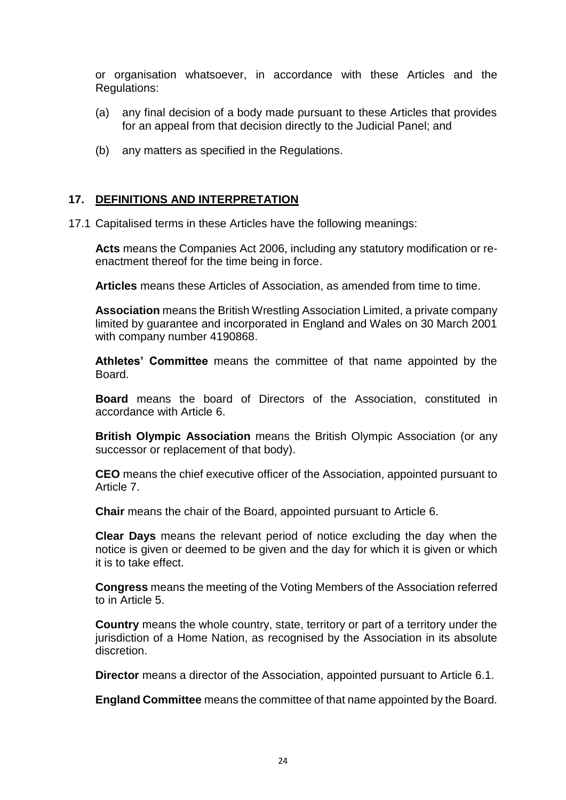or organisation whatsoever, in accordance with these Articles and the Regulations:

- (a) any final decision of a body made pursuant to these Articles that provides for an appeal from that decision directly to the Judicial Panel; and
- (b) any matters as specified in the Regulations.

#### <span id="page-25-0"></span>**17. DEFINITIONS AND INTERPRETATION**

17.1 Capitalised terms in these Articles have the following meanings:

**Acts** means the Companies Act 2006, including any statutory modification or reenactment thereof for the time being in force.

**Articles** means these Articles of Association, as amended from time to time.

**Association** means the British Wrestling Association Limited, a private company limited by guarantee and incorporated in England and Wales on 30 March 2001 with company number 4190868.

**Athletes' Committee** means the committee of that name appointed by the Board.

**Board** means the board of Directors of the Association, constituted in accordance with Article 6.

**British Olympic Association** means the British Olympic Association (or any successor or replacement of that body).

**CEO** means the chief executive officer of the Association, appointed pursuant to Article 7.

**Chair** means the chair of the Board, appointed pursuant to Article 6.

**Clear Days** means the relevant period of notice excluding the day when the notice is given or deemed to be given and the day for which it is given or which it is to take effect.

**Congress** means the meeting of the Voting Members of the Association referred to in Article 5.

**Country** means the whole country, state, territory or part of a territory under the jurisdiction of a Home Nation, as recognised by the Association in its absolute discretion.

**Director** means a director of the Association, appointed pursuant to Article 6.1.

**England Committee** means the committee of that name appointed by the Board.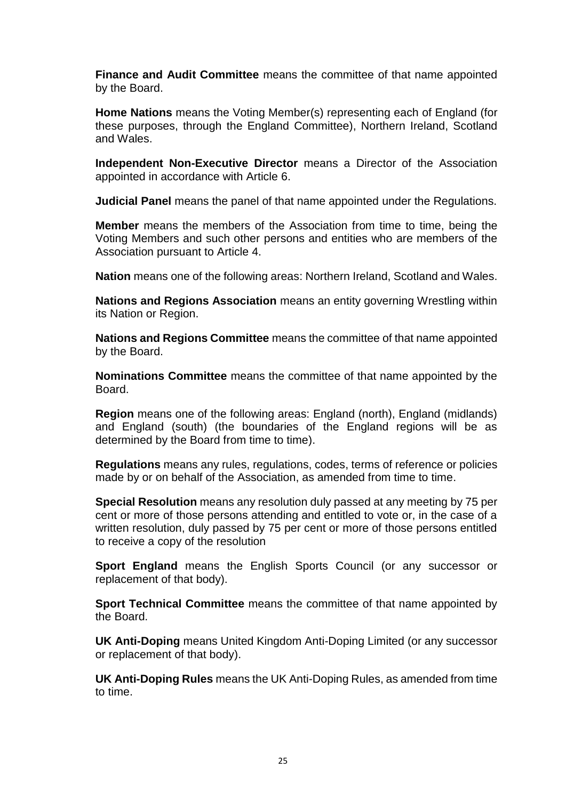**Finance and Audit Committee** means the committee of that name appointed by the Board.

**Home Nations** means the Voting Member(s) representing each of England (for these purposes, through the England Committee), Northern Ireland, Scotland and Wales.

**Independent Non-Executive Director** means a Director of the Association appointed in accordance with Article 6.

**Judicial Panel** means the panel of that name appointed under the Regulations.

**Member** means the members of the Association from time to time, being the Voting Members and such other persons and entities who are members of the Association pursuant to Article 4.

**Nation** means one of the following areas: Northern Ireland, Scotland and Wales.

**Nations and Regions Association** means an entity governing Wrestling within its Nation or Region.

**Nations and Regions Committee** means the committee of that name appointed by the Board.

**Nominations Committee** means the committee of that name appointed by the Board.

**Region** means one of the following areas: England (north), England (midlands) and England (south) (the boundaries of the England regions will be as determined by the Board from time to time).

**Regulations** means any rules, regulations, codes, terms of reference or policies made by or on behalf of the Association, as amended from time to time.

**Special Resolution** means any resolution duly passed at any meeting by 75 per cent or more of those persons attending and entitled to vote or, in the case of a written resolution, duly passed by 75 per cent or more of those persons entitled to receive a copy of the resolution

**Sport England** means the English Sports Council (or any successor or replacement of that body).

**Sport Technical Committee** means the committee of that name appointed by the Board.

**UK Anti-Doping** means United Kingdom Anti-Doping Limited (or any successor or replacement of that body).

**UK Anti-Doping Rules** means the UK Anti-Doping Rules, as amended from time to time.